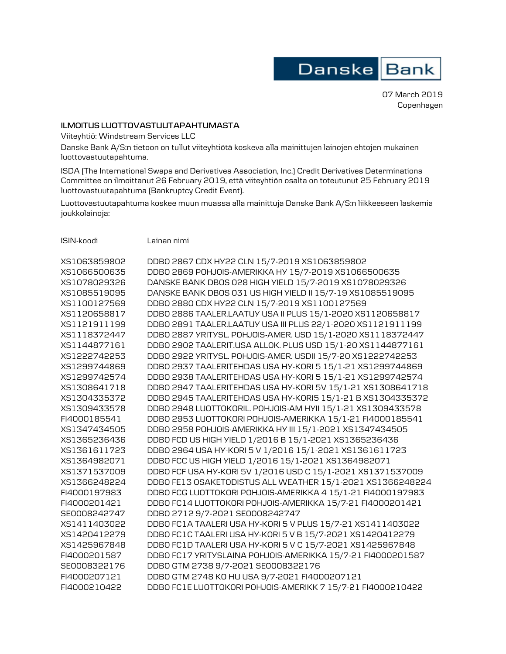

07 March 2019 Copenhagen

## **ILMOITUS LUOTTOVASTUUTAPAHTUMASTA**

Viiteyhtiö: Windstream Services LLC

Danske Bank A/S:n tietoon on tullut viiteyhtiötä koskeva alla mainittujen lainojen ehtojen mukainen luottovastuutapahtuma.

ISDA (The International Swaps and Derivatives Association, Inc.) Credit Derivatives Determinations Committee on ilmoittanut 26 February 2019, että viiteyhtiön osalta on toteutunut 25 February 2019 luottovastuutapahtuma (Bankruptcy Credit Event).

Luottovastuutapahtuma koskee muun muassa alla mainittuja Danske Bank A/S:n liikkeeseen laskemia joukkolainoja:

ISIN-koodi Lainan nimi

| XS1063859802 | DDB0 2867 CDX HY22 CLN 15/7-2019 XS1063859802               |
|--------------|-------------------------------------------------------------|
| XS1066500635 | DDB0 2869 POHJOIS-AMERIKKA HY 15/7-2019 XS1066500635        |
| XS1078029326 | DANSKE BANK DBOS 028 HIGH YIELD 15/7-2019 XS1078029326      |
| XS1085519095 | DANSKE BANK DBOS 031 US HIGH YIELD II 15/7-19 XS1085519095  |
| XS1100127569 | DDB0 2880 CDX HY22 CLN 15/7-2019 XS1100127569               |
| XS1120658817 | DDB0 2886 TAALER.LAATUY USA II PLUS 15/1-2020 XS1120658817  |
| XS1121911199 | DDB0 2891 TAALER.LAATUY USA III PLUS 22/1-2020 XS1121911199 |
| XS1118372447 | DDB0 2887 YRITYSL. POHJOIS-AMER. USD 15/1-2020 XS1118372447 |
| XS1144877161 | DDB0 2902 TAALERIT.USA ALLOK. PLUS USD 15/1-20 XS1144877161 |
| XS1222742253 | DDB0 2922 YRITYSL. POHJOIS-AMER. USDII 15/7-20 XS1222742253 |
| XS1299744869 | DDB0 2937 TAALERITEHDAS USA HY-KORI 5 15/1-21 XS1299744869  |
| XS1299742574 | DDB0 2938 TAALERITEHDAS USA HY-KORI 5 15/1-21 XS1299742574  |
| XS1308641718 | DDB0 2947 TAALERITEHDAS USA HY-KORI 5V 15/1-21 XS1308641718 |
| XS1304335372 | DDB0 2945 TAALERITEHDAS USA HY-KORI5 15/1-21 B XS1304335372 |
| XS1309433578 | DDB0 2948 LU0TT0K0RIL. POHJOIS-AM HYII 15/1-21 XS1309433578 |
| FI4000185541 | DDB0 2953 LUOTTOKORI POHJOIS-AMERIKKA 15/1-21 FI4000185541  |
| XS1347434505 | DDB0 2958 POHJOIS-AMERIKKA HY III 15/1-2021 XS1347434505    |
| XS1365236436 | DDB0 FCD US HIGH YIELD 1/2016 B 15/1-2021 XS1365236436      |
| XS1361611723 | DDB0 2964 USA HY-KORI 5 V 1/2016 15/1-2021 XS1361611723     |
| XS1364982071 | DDB0 FCC US HIGH YIELD 1/2016 15/1-2021 XS1364982071        |
| XS1371537009 | DDB0 FCF USA HY-KORI 5V 1/2016 USD C 15/1-2021 XS1371537009 |
| XS1366248224 | DDBO FE13 OSAKETODISTUS ALL WEATHER 15/1-2021 XS1366248224  |
| FI4000197983 | DDBO FCG LUOTTOKORI POHJOIS-AMERIKKA 4 15/1-21 FI4000197983 |
| FI4000201421 | DDBO FC14 LUOTTOKORI POHJOIS-AMERIKKA 15/7-21 FI4000201421  |
| SE0008242747 | DDB0 2712 9/7-2021 SE0008242747                             |
| XS1411403022 | DDB0 FC1A TAALERI USA HY-KORI 5 V PLUS 15/7-21 XS1411403022 |
| XS1420412279 | DDB0 FC1C TAALERI USA HY-KORI 5 V B 15/7-2021 XS1420412279  |
| XS1425967848 | DDB0 FC1D TAALERI USA HY-KORI 5 V C 15/7-2021 XS1425967848  |
| FI4000201587 | DDBO FC17 YRITYSLAINA POHJOIS-AMERIKKA 15/7-21 FI4000201587 |
| SE0008322176 | DDB0 GTM 2738 9/7-2021 SE0008322176                         |
| FI4000207121 | DDB0 GTM 2748 KO HU USA 9/7-2021 FI4000207121               |
| FI4000210422 | DDBO FC1E LUOTTOKORI POHJOIS-AMERIKK 7 15/7-21 FI4000210422 |